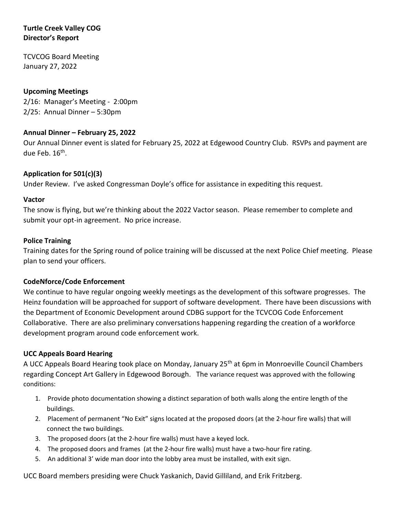# **Turtle Creek Valley COG Director's Report**

TCVCOG Board Meeting January 27, 2022

# **Upcoming Meetings**

2/16: Manager's Meeting - 2:00pm 2/25: Annual Dinner – 5:30pm

## **Annual Dinner – February 25, 2022**

Our Annual Dinner event is slated for February 25, 2022 at Edgewood Country Club. RSVPs and payment are due Feb. 16<sup>th</sup>.

## **Application for 501(c)(3)**

Under Review. I've asked Congressman Doyle's office for assistance in expediting this request.

#### **Vactor**

The snow is flying, but we're thinking about the 2022 Vactor season. Please remember to complete and submit your opt-in agreement. No price increase.

### **Police Training**

Training dates for the Spring round of police training will be discussed at the next Police Chief meeting. Please plan to send your officers.

### **CodeNforce/Code Enforcement**

We continue to have regular ongoing weekly meetings as the development of this software progresses. The Heinz foundation will be approached for support of software development. There have been discussions with the Department of Economic Development around CDBG support for the TCVCOG Code Enforcement Collaborative. There are also preliminary conversations happening regarding the creation of a workforce development program around code enforcement work.

### **UCC Appeals Board Hearing**

A UCC Appeals Board Hearing took place on Monday, January 25th at 6pm in Monroeville Council Chambers regarding Concept Art Gallery in Edgewood Borough. The variance request was approved with the following conditions:

- 1. Provide photo documentation showing a distinct separation of both walls along the entire length of the buildings.
- 2. Placement of permanent "No Exit" signs located at the proposed doors (at the 2-hour fire walls) that will connect the two buildings.
- 3. The proposed doors (at the 2-hour fire walls) must have a keyed lock.
- 4. The proposed doors and frames (at the 2-hour fire walls) must have a two-hour fire rating.
- 5. An additional 3' wide man door into the lobby area must be installed, with exit sign.

UCC Board members presiding were Chuck Yaskanich, David Gilliland, and Erik Fritzberg.